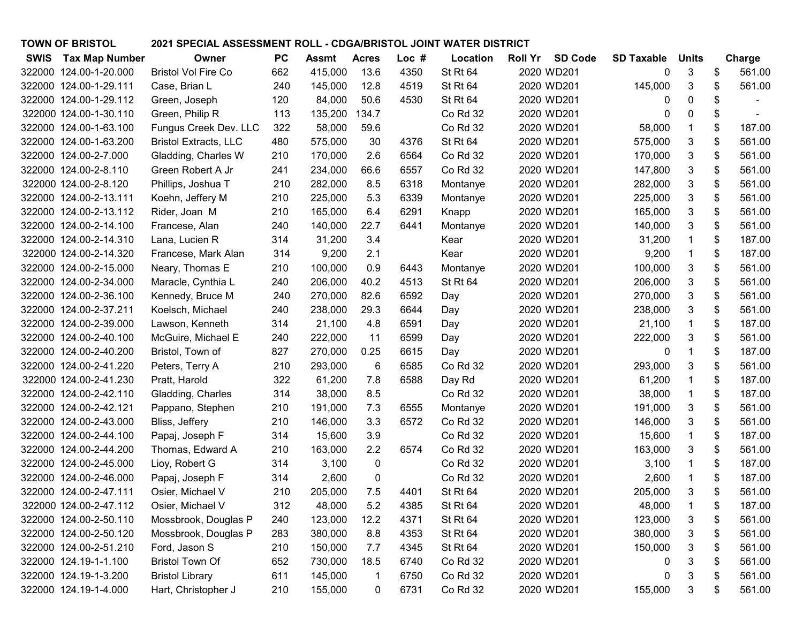| <b>TOWN OF BRISTOL</b>               | 2021 SPECIAL ASSESSMENT ROLL - CDGA/BRISTOL JOINT WATER DISTRICT |           |         |              |       |          |                |                |                   |              |              |
|--------------------------------------|------------------------------------------------------------------|-----------|---------|--------------|-------|----------|----------------|----------------|-------------------|--------------|--------------|
| <b>SWIS</b><br><b>Tax Map Number</b> | Owner                                                            | <b>PC</b> | Assmt   | <b>Acres</b> | Loc # | Location | <b>Roll Yr</b> | <b>SD Code</b> | <b>SD Taxable</b> | <b>Units</b> | Charge       |
| 322000 124.00-1-20.000               | <b>Bristol Vol Fire Co</b>                                       | 662       | 415,000 | 13.6         | 4350  | St Rt 64 |                | 2020 WD201     | 0                 | 3            | \$<br>561.00 |
| 322000 124.00-1-29.111               | Case, Brian L                                                    | 240       | 145,000 | 12.8         | 4519  | St Rt 64 |                | 2020 WD201     | 145,000           | 3            | \$<br>561.00 |
| 322000 124.00-1-29.112               | Green, Joseph                                                    | 120       | 84,000  | 50.6         | 4530  | St Rt 64 |                | 2020 WD201     | 0                 | 0            | \$           |
| 322000 124.00-1-30.110               | Green, Philip R                                                  | 113       | 135,200 | 134.7        |       | Co Rd 32 |                | 2020 WD201     | 0                 | 0            | \$           |
| 322000 124.00-1-63.100               | Fungus Creek Dev. LLC                                            | 322       | 58,000  | 59.6         |       | Co Rd 32 |                | 2020 WD201     | 58,000            | 1            | \$<br>187.00 |
| 322000 124.00-1-63.200               | <b>Bristol Extracts, LLC</b>                                     | 480       | 575,000 | 30           | 4376  | St Rt 64 |                | 2020 WD201     | 575,000           | 3            | \$<br>561.00 |
| 322000 124.00-2-7.000                | Gladding, Charles W                                              | 210       | 170,000 | 2.6          | 6564  | Co Rd 32 |                | 2020 WD201     | 170,000           | 3            | \$<br>561.00 |
| 322000 124.00-2-8.110                | Green Robert A Jr                                                | 241       | 234,000 | 66.6         | 6557  | Co Rd 32 |                | 2020 WD201     | 147,800           | 3            | \$<br>561.00 |
| 322000 124.00-2-8.120                | Phillips, Joshua T                                               | 210       | 282,000 | 8.5          | 6318  | Montanye |                | 2020 WD201     | 282,000           | 3            | \$<br>561.00 |
| 322000 124.00-2-13.111               | Koehn, Jeffery M                                                 | 210       | 225,000 | 5.3          | 6339  | Montanye |                | 2020 WD201     | 225,000           | 3            | \$<br>561.00 |
| 322000 124.00-2-13.112               | Rider, Joan M                                                    | 210       | 165,000 | 6.4          | 6291  | Knapp    |                | 2020 WD201     | 165,000           | 3            | \$<br>561.00 |
| 322000 124.00-2-14.100               | Francese, Alan                                                   | 240       | 140,000 | 22.7         | 6441  | Montanye |                | 2020 WD201     | 140,000           | 3            | \$<br>561.00 |
| 322000 124.00-2-14.310               | Lana, Lucien R                                                   | 314       | 31,200  | 3.4          |       | Kear     |                | 2020 WD201     | 31,200            | 1            | \$<br>187.00 |
| 322000 124.00-2-14.320               | Francese, Mark Alan                                              | 314       | 9,200   | 2.1          |       | Kear     |                | 2020 WD201     | 9,200             | $\mathbf 1$  | \$<br>187.00 |
| 322000 124.00-2-15.000               | Neary, Thomas E                                                  | 210       | 100,000 | 0.9          | 6443  | Montanye |                | 2020 WD201     | 100,000           | 3            | \$<br>561.00 |
| 322000 124.00-2-34.000               | Maracle, Cynthia L                                               | 240       | 206,000 | 40.2         | 4513  | St Rt 64 |                | 2020 WD201     | 206,000           | 3            | \$<br>561.00 |
| 322000 124.00-2-36.100               | Kennedy, Bruce M                                                 | 240       | 270,000 | 82.6         | 6592  | Day      |                | 2020 WD201     | 270,000           | 3            | \$<br>561.00 |
| 322000 124.00-2-37.211               | Koelsch, Michael                                                 | 240       | 238,000 | 29.3         | 6644  | Day      |                | 2020 WD201     | 238,000           | 3            | \$<br>561.00 |
| 322000 124.00-2-39.000               | Lawson, Kenneth                                                  | 314       | 21,100  | 4.8          | 6591  | Day      |                | 2020 WD201     | 21,100            | $\mathbf 1$  | \$<br>187.00 |
| 322000 124.00-2-40.100               | McGuire, Michael E                                               | 240       | 222,000 | 11           | 6599  | Day      |                | 2020 WD201     | 222,000           | 3            | \$<br>561.00 |
| 322000 124.00-2-40.200               | Bristol, Town of                                                 | 827       | 270,000 | 0.25         | 6615  | Day      |                | 2020 WD201     | 0                 | 1            | \$<br>187.00 |
| 322000 124.00-2-41.220               | Peters, Terry A                                                  | 210       | 293,000 | 6            | 6585  | Co Rd 32 |                | 2020 WD201     | 293,000           | 3            | \$<br>561.00 |
| 322000 124.00-2-41.230               | Pratt, Harold                                                    | 322       | 61,200  | 7.8          | 6588  | Day Rd   |                | 2020 WD201     | 61,200            | 1            | \$<br>187.00 |
| 322000 124.00-2-42.110               | Gladding, Charles                                                | 314       | 38,000  | 8.5          |       | Co Rd 32 |                | 2020 WD201     | 38,000            | $\mathbf 1$  | \$<br>187.00 |
| 322000 124.00-2-42.121               | Pappano, Stephen                                                 | 210       | 191,000 | 7.3          | 6555  | Montanye |                | 2020 WD201     | 191,000           | 3            | \$<br>561.00 |
| 322000 124.00-2-43.000               | Bliss, Jeffery                                                   | 210       | 146,000 | 3.3          | 6572  | Co Rd 32 |                | 2020 WD201     | 146,000           | 3            | \$<br>561.00 |
| 322000 124.00-2-44.100               | Papaj, Joseph F                                                  | 314       | 15,600  | 3.9          |       | Co Rd 32 |                | 2020 WD201     | 15,600            | $\mathbf 1$  | \$<br>187.00 |
| 322000 124.00-2-44.200               | Thomas, Edward A                                                 | 210       | 163,000 | 2.2          | 6574  | Co Rd 32 |                | 2020 WD201     | 163,000           | 3            | \$<br>561.00 |
| 322000 124.00-2-45.000               | Lioy, Robert G                                                   | 314       | 3,100   | 0            |       | Co Rd 32 |                | 2020 WD201     | 3,100             | 1            | \$<br>187.00 |
| 322000 124.00-2-46.000               | Papaj, Joseph F                                                  | 314       | 2,600   | 0            |       | Co Rd 32 |                | 2020 WD201     | 2,600             | 1            | \$<br>187.00 |
| 322000 124.00-2-47.111               | Osier, Michael V                                                 | 210       | 205,000 | 7.5          | 4401  | St Rt 64 |                | 2020 WD201     | 205,000           |              | 561.00       |
| 322000 124.00-2-47.112               | Osier, Michael V                                                 | 312       | 48,000  | 5.2          | 4385  | St Rt 64 |                | 2020 WD201     | 48,000            | $\mathbf 1$  | \$<br>187.00 |
| 322000 124.00-2-50.110               | Mossbrook, Douglas P                                             | 240       | 123,000 | 12.2         | 4371  | St Rt 64 |                | 2020 WD201     | 123,000           | 3            | \$<br>561.00 |
| 322000 124.00-2-50.120               | Mossbrook, Douglas P                                             | 283       | 380,000 | 8.8          | 4353  | St Rt 64 |                | 2020 WD201     | 380,000           | 3            | \$<br>561.00 |
| 322000 124.00-2-51.210               | Ford, Jason S                                                    | 210       | 150,000 | 7.7          | 4345  | St Rt 64 |                | 2020 WD201     | 150,000           | 3            | \$<br>561.00 |
| 322000 124.19-1-1.100                | <b>Bristol Town Of</b>                                           | 652       | 730,000 | 18.5         | 6740  | Co Rd 32 |                | 2020 WD201     | 0                 | 3            | \$<br>561.00 |
| 322000 124.19-1-3.200                | <b>Bristol Library</b>                                           | 611       | 145,000 | $\mathbf 1$  | 6750  | Co Rd 32 |                | 2020 WD201     | 0                 | 3            | \$<br>561.00 |
| 322000 124.19-1-4.000                | Hart, Christopher J                                              | 210       | 155,000 | 0            | 6731  | Co Rd 32 |                | 2020 WD201     | 155,000           | 3            | \$<br>561.00 |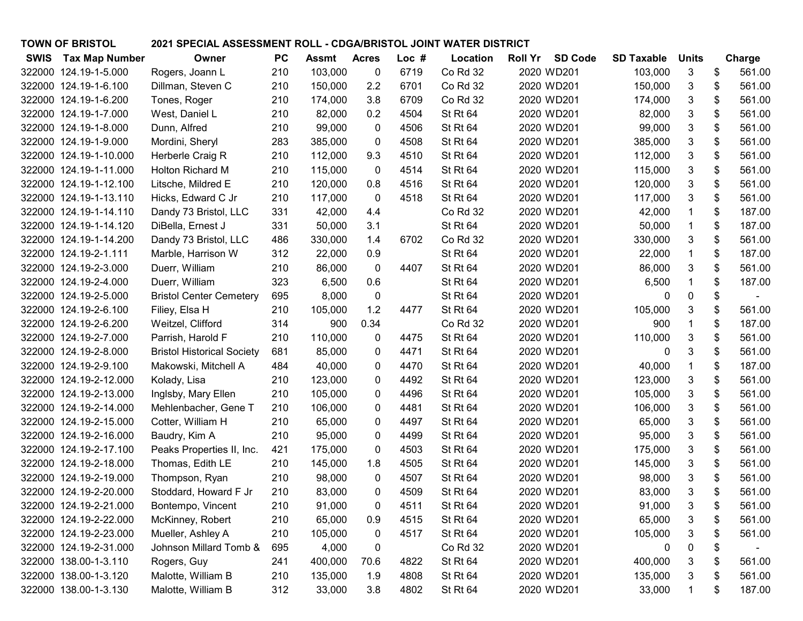| <b>TOWN OF BRISTOL</b><br>2021 SPECIAL ASSESSMENT ROLL - CDGA/BRISTOL JOINT WATER DISTRICT |                                   |           |                    |              |       |                 |                                  |                   |              |              |
|--------------------------------------------------------------------------------------------|-----------------------------------|-----------|--------------------|--------------|-------|-----------------|----------------------------------|-------------------|--------------|--------------|
| <b>SWIS</b><br><b>Tax Map Number</b>                                                       | Owner                             | <b>PC</b> | <b>Assmt</b> Acres |              | Loc # | Location        | <b>Roll Yr</b><br><b>SD Code</b> | <b>SD Taxable</b> | <b>Units</b> | Charge       |
| 322000 124.19-1-5.000                                                                      | Rogers, Joann L                   | 210       | 103,000            | 0            | 6719  | Co Rd 32        | 2020 WD201                       | 103,000           | 3            | \$<br>561.00 |
| 322000 124.19-1-6.100                                                                      | Dillman, Steven C                 | 210       | 150,000            | 2.2          | 6701  | Co Rd 32        | 2020 WD201                       | 150,000           | 3            | \$<br>561.00 |
| 322000 124.19-1-6.200                                                                      | Tones, Roger                      | 210       | 174,000            | 3.8          | 6709  | Co Rd 32        | 2020 WD201                       | 174,000           | 3            | \$<br>561.00 |
| 322000 124.19-1-7.000                                                                      | West, Daniel L                    | 210       | 82,000             | 0.2          | 4504  | St Rt 64        | 2020 WD201                       | 82,000            | 3            | \$<br>561.00 |
| 322000 124.19-1-8.000                                                                      | Dunn, Alfred                      | 210       | 99,000             | 0            | 4506  | St Rt 64        | 2020 WD201                       | 99,000            | 3            | \$<br>561.00 |
| 322000 124.19-1-9.000                                                                      | Mordini, Sheryl                   | 283       | 385,000            | 0            | 4508  | St Rt 64        | 2020 WD201                       | 385,000           | 3            | \$<br>561.00 |
| 322000 124.19-1-10.000                                                                     | Herberle Craig R                  | 210       | 112,000            | 9.3          | 4510  | St Rt 64        | 2020 WD201                       | 112,000           | 3            | \$<br>561.00 |
| 322000 124.19-1-11.000                                                                     | Holton Richard M                  | 210       | 115,000            | 0            | 4514  | St Rt 64        | 2020 WD201                       | 115,000           | 3            | \$<br>561.00 |
| 322000 124.19-1-12.100                                                                     | Litsche, Mildred E                | 210       | 120,000            | 0.8          | 4516  | St Rt 64        | 2020 WD201                       | 120,000           | 3            | \$<br>561.00 |
| 322000 124.19-1-13.110                                                                     | Hicks, Edward C Jr                | 210       | 117,000            | 0            | 4518  | St Rt 64        | 2020 WD201                       | 117,000           | 3            | \$<br>561.00 |
| 322000 124.19-1-14.110                                                                     | Dandy 73 Bristol, LLC             | 331       | 42,000             | 4.4          |       | Co Rd 32        | 2020 WD201                       | 42,000            | 1            | \$<br>187.00 |
| 322000 124.19-1-14.120                                                                     | DiBella, Ernest J                 | 331       | 50,000             | 3.1          |       | <b>St Rt 64</b> | 2020 WD201                       | 50,000            | $\mathbf{1}$ | \$<br>187.00 |
| 322000 124.19-1-14.200                                                                     | Dandy 73 Bristol, LLC             | 486       | 330,000            | 1.4          | 6702  | Co Rd 32        | 2020 WD201                       | 330,000           | 3            | \$<br>561.00 |
| 322000 124.19-2-1.111                                                                      | Marble, Harrison W                | 312       | 22,000             | 0.9          |       | <b>St Rt 64</b> | 2020 WD201                       | 22,000            | $\mathbf{1}$ | \$<br>187.00 |
| 322000 124.19-2-3.000                                                                      | Duerr, William                    | 210       | 86,000             | $\mathbf{0}$ | 4407  | St Rt 64        | 2020 WD201                       | 86,000            | 3            | \$<br>561.00 |
| 322000 124.19-2-4.000                                                                      | Duerr, William                    | 323       | 6,500              | 0.6          |       | St Rt 64        | 2020 WD201                       | 6,500             | 1            | \$<br>187.00 |
| 322000 124.19-2-5.000                                                                      | <b>Bristol Center Cemetery</b>    | 695       | 8,000              | 0            |       | <b>St Rt 64</b> | 2020 WD201                       | 0                 | 0            | \$           |
| 322000 124.19-2-6.100                                                                      | Filiey, Elsa H                    | 210       | 105,000            | 1.2          | 4477  | <b>St Rt 64</b> | 2020 WD201                       | 105,000           | 3            | \$<br>561.00 |
| 322000 124.19-2-6.200                                                                      | Weitzel, Clifford                 | 314       | 900                | 0.34         |       | Co Rd 32        | 2020 WD201                       | 900               | 1            | \$<br>187.00 |
| 322000 124.19-2-7.000                                                                      | Parrish, Harold F                 | 210       | 110,000            | 0            | 4475  | St Rt 64        | 2020 WD201                       | 110,000           | 3            | \$<br>561.00 |
| 322000 124.19-2-8.000                                                                      | <b>Bristol Historical Society</b> | 681       | 85,000             | 0            | 4471  | St Rt 64        | 2020 WD201                       | 0                 | 3            | \$<br>561.00 |
| 322000 124.19-2-9.100                                                                      | Makowski, Mitchell A              | 484       | 40,000             | 0            | 4470  | St Rt 64        | 2020 WD201                       | 40,000            | $\mathbf 1$  | \$<br>187.00 |
| 322000 124.19-2-12.000                                                                     | Kolady, Lisa                      | 210       | 123,000            | 0            | 4492  | St Rt 64        | 2020 WD201                       | 123,000           | 3            | \$<br>561.00 |
| 322000 124.19-2-13.000                                                                     | Inglsby, Mary Ellen               | 210       | 105,000            | 0            | 4496  | St Rt 64        | 2020 WD201                       | 105,000           | 3            | \$<br>561.00 |
| 322000 124.19-2-14.000                                                                     | Mehlenbacher, Gene T              | 210       | 106,000            | 0            | 4481  | St Rt 64        | 2020 WD201                       | 106,000           | 3            | \$<br>561.00 |
| 322000 124.19-2-15.000                                                                     | Cotter, William H                 | 210       | 65,000             | 0            | 4497  | St Rt 64        | 2020 WD201                       | 65,000            | 3            | \$<br>561.00 |
| 322000 124.19-2-16.000                                                                     | Baudry, Kim A                     | 210       | 95,000             | 0            | 4499  | <b>St Rt 64</b> | 2020 WD201                       | 95,000            | 3            | \$<br>561.00 |
| 322000 124.19-2-17.100                                                                     | Peaks Properties II, Inc.         | 421       | 175,000            | 0            | 4503  | St Rt 64        | 2020 WD201                       | 175,000           | 3            | \$<br>561.00 |
| 322000 124.19-2-18.000                                                                     | Thomas, Edith LE                  | 210       | 145,000            | 1.8          | 4505  | St Rt 64        | 2020 WD201                       | 145,000           | 3            | \$<br>561.00 |
| 322000 124.19-2-19.000                                                                     | Thompson, Ryan                    | 210       | 98,000             | 0            | 4507  | St Rt 64        | 2020 WD201                       | 98,000            | 3            | \$<br>561.00 |
| 322000 124.19-2-20.000                                                                     | Stoddard, Howard F Jr             | 210       | 83,000             | 0            | 4509  | St Rt 64        | 2020 WD201                       | 83,000            |              | 561.00       |
| 322000 124.19-2-21.000                                                                     | Bontempo, Vincent                 | 210       | 91,000             | 0            | 4511  | St Rt 64        | 2020 WD201                       | 91,000            | 3            | \$<br>561.00 |
| 322000 124.19-2-22.000                                                                     | McKinney, Robert                  | 210       | 65,000             | 0.9          | 4515  | <b>St Rt 64</b> | 2020 WD201                       | 65,000            | 3            | \$<br>561.00 |
| 322000 124.19-2-23.000                                                                     | Mueller, Ashley A                 | 210       | 105,000            | 0            | 4517  | St Rt 64        | 2020 WD201                       | 105,000           | 3            | \$<br>561.00 |
| 322000 124.19-2-31.000                                                                     | Johnson Millard Tomb &            | 695       | 4,000              | 0            |       | Co Rd 32        | 2020 WD201                       | 0                 | 0            |              |
| 322000 138.00-1-3.110                                                                      | Rogers, Guy                       | 241       | 400,000            | 70.6         | 4822  | St Rt 64        | 2020 WD201                       | 400,000           | 3            | \$<br>561.00 |
| 322000 138.00-1-3.120                                                                      | Malotte, William B                | 210       | 135,000            | 1.9          | 4808  | St Rt 64        | 2020 WD201                       | 135,000           | 3            | \$<br>561.00 |
| 322000 138.00-1-3.130                                                                      | Malotte, William B                | 312       | 33,000             | 3.8          | 4802  | <b>St Rt 64</b> | 2020 WD201                       | 33,000            | 1            | \$<br>187.00 |